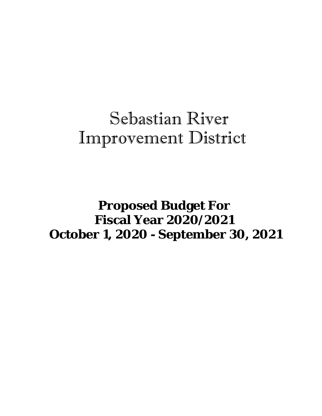## Sebastian River Improvement District

 **Proposed Budget For Fiscal Year 2020/2021 October 1, 2020 - September 30, 2021**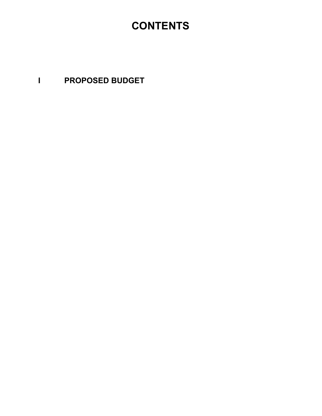## **CONTENTS**

**I PROPOSED BUDGET**